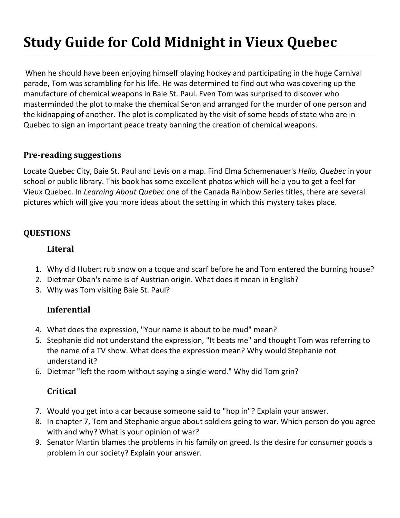# **Study Guide for Cold Midnight in Vieux Quebec**

When he should have been enjoying himself playing hockey and participating in the huge Carnival parade, Tom was scrambling for his life. He was determined to find out who was covering up the manufacture of chemical weapons in Baie St. Paul. Even Tom was surprised to discover who masterminded the plot to make the chemical Seron and arranged for the murder of one person and the kidnapping of another. The plot is complicated by the visit of some heads of state who are in Quebec to sign an important peace treaty banning the creation of chemical weapons.

### **Pre-reading suggestions**

Locate Quebec City, Baie St. Paul and Levis on a map. Find Elma Schemenauer's *Hello, Quebec* in your school or public library. This book has some excellent photos which will help you to get a feel for Vieux Quebec. In *Learning About Quebec* one of the Canada Rainbow Series titles, there are several pictures which will give you more ideas about the setting in which this mystery takes place.

## **QUESTIONS**

#### **Literal**

- 1. Why did Hubert rub snow on a toque and scarf before he and Tom entered the burning house?
- 2. Dietmar Oban's name is of Austrian origin. What does it mean in English?
- 3. Why was Tom visiting Baie St. Paul?

## **Inferential**

- 4. What does the expression, "Your name is about to be mud" mean?
- 5. Stephanie did not understand the expression, "It beats me" and thought Tom was referring to the name of a TV show. What does the expression mean? Why would Stephanie not understand it?
- 6. Dietmar "left the room without saying a single word." Why did Tom grin?

## **Critical**

- 7. Would you get into a car because someone said to "hop in"? Explain your answer.
- 8. In chapter 7, Tom and Stephanie argue about soldiers going to war. Which person do you agree with and why? What is your opinion of war?
- 9. Senator Martin blames the problems in his family on greed. Is the desire for consumer goods a problem in our society? Explain your answer.